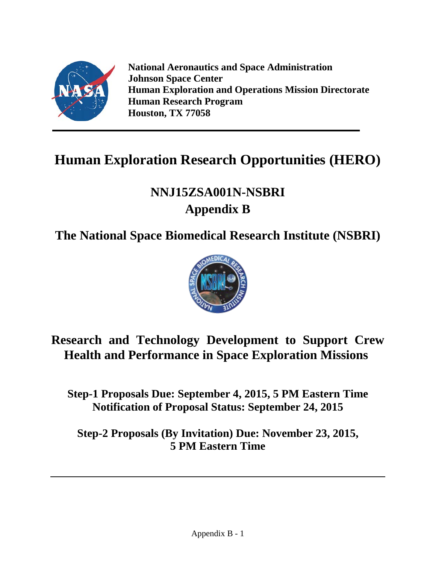

**National Aeronautics and Space Administration Johnson Space Center Human Exploration and Operations Mission Directorate Human Research Program Houston, TX 77058**

# **Human Exploration Research Opportunities (HERO)**

# **NNJ15ZSA001N-NSBRI Appendix B**

## **The National Space Biomedical Research Institute (NSBRI)**



**Research and Technology Development to Support Crew Health and Performance in Space Exploration Missions**

**Step-1 Proposals Due: September 4, 2015, 5 PM Eastern Time Notification of Proposal Status: September 24, 2015**

**Step-2 Proposals (By Invitation) Due: November 23, 2015, 5 PM Eastern Time**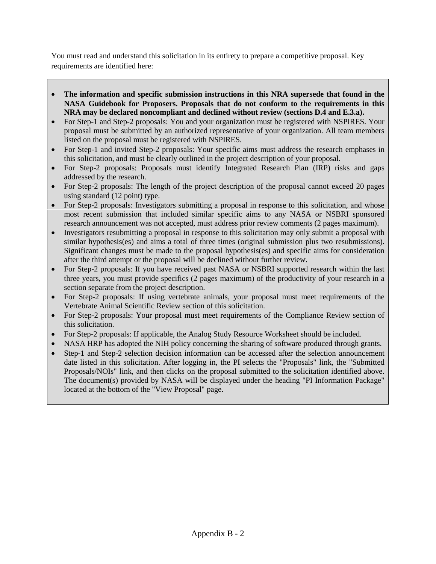You must read and understand this solicitation in its entirety to prepare a competitive proposal. Key requirements are identified here:

- **The information and specific submission instructions in this NRA supersede that found in the NASA Guidebook for Proposers. Proposals that do not conform to the requirements in this NRA may be declared noncompliant and declined without review (sections D.4 and E.3.a).**
- For Step-1 and Step-2 proposals: You and your organization must be registered with NSPIRES. Your proposal must be submitted by an authorized representative of your organization. All team members listed on the proposal must be registered with NSPIRES.
- For Step-1 and invited Step-2 proposals: Your specific aims must address the research emphases in this solicitation, and must be clearly outlined in the project description of your proposal.
- For Step-2 proposals: Proposals must identify Integrated Research Plan (IRP) risks and gaps addressed by the research.
- For Step-2 proposals: The length of the project description of the proposal cannot exceed 20 pages using standard (12 point) type.
- For Step-2 proposals: Investigators submitting a proposal in response to this solicitation, and whose most recent submission that included similar specific aims to any NASA or NSBRI sponsored research announcement was not accepted, must address prior review comments (2 pages maximum).
- Investigators resubmitting a proposal in response to this solicitation may only submit a proposal with similar hypothesis(es) and aims a total of three times (original submission plus two resubmissions). Significant changes must be made to the proposal hypothesis(es) and specific aims for consideration after the third attempt or the proposal will be declined without further review.
- For Step-2 proposals: If you have received past NASA or NSBRI supported research within the last three years, you must provide specifics (2 pages maximum) of the productivity of your research in a section separate from the project description.
- For Step-2 proposals: If using vertebrate animals, your proposal must meet requirements of the Vertebrate Animal Scientific Review section of this solicitation.
- For Step-2 proposals: Your proposal must meet requirements of the Compliance Review section of this solicitation.
- For Step-2 proposals: If applicable, the Analog Study Resource Worksheet should be included.
- NASA HRP has adopted the NIH policy concerning the sharing of software produced through grants.
- Step-1 and Step-2 selection decision information can be accessed after the selection announcement date listed in this solicitation. After logging in, the PI selects the "Proposals" link, the "Submitted Proposals/NOIs" link, and then clicks on the proposal submitted to the solicitation identified above. The document(s) provided by NASA will be displayed under the heading "PI Information Package" located at the bottom of the "View Proposal" page.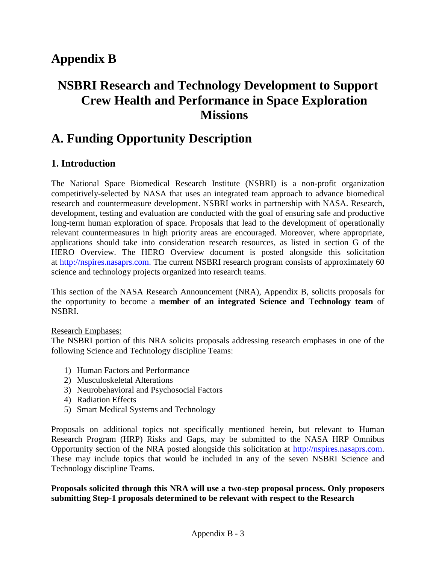## **Appendix B**

## **NSBRI Research and Technology Development to Support Crew Health and Performance in Space Exploration Missions**

## **A. Funding Opportunity Description**

## **1. Introduction**

The National Space Biomedical Research Institute (NSBRI) is a non-profit organization competitively-selected by NASA that uses an integrated team approach to advance biomedical research and countermeasure development. NSBRI works in partnership with NASA. Research, development, testing and evaluation are conducted with the goal of ensuring safe and productive long-term human exploration of space. Proposals that lead to the development of operationally relevant countermeasures in high priority areas are encouraged. Moreover, where appropriate, applications should take into consideration research resources, as listed in section G of the HERO Overview. The HERO Overview document is posted alongside this solicitation at [http://nspires.nasaprs.com.](http://nspires.nasaprs.com/) The current NSBRI research program consists of approximately 60 science and technology projects organized into research teams.

This section of the NASA Research Announcement (NRA), Appendix B, solicits proposals for the opportunity to become a **member of an integrated Science and Technology team** of NSBRI.

#### Research Emphases:

The NSBRI portion of this NRA solicits proposals addressing research emphases in one of the following Science and Technology discipline Teams:

- 1) Human Factors and Performance
- 2) Musculoskeletal Alterations
- 3) Neurobehavioral and Psychosocial Factors
- 4) Radiation Effects
- 5) Smart Medical Systems and Technology

Proposals on additional topics not specifically mentioned herein, but relevant to Human Research Program (HRP) Risks and Gaps, may be submitted to the NASA HRP Omnibus Opportunity section of the NRA posted alongside this solicitation at [http://nspires.nasaprs.com.](http://nspires.nasaprs.com/) These may include topics that would be included in any of the seven NSBRI Science and Technology discipline Teams.

#### **Proposals solicited through this NRA will use a two-step proposal process. Only proposers submitting Step-1 proposals determined to be relevant with respect to the Research**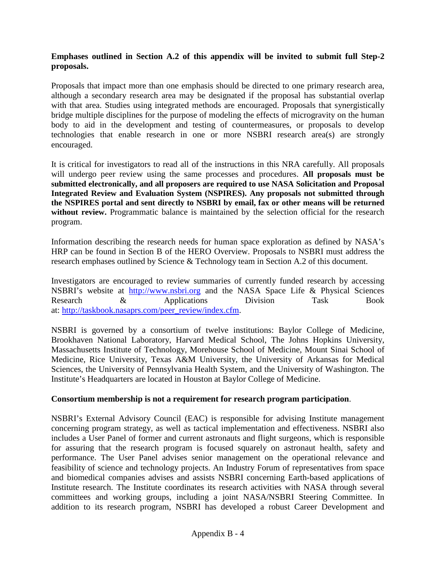#### **Emphases outlined in Section A.2 of this appendix will be invited to submit full Step-2 proposals.**

Proposals that impact more than one emphasis should be directed to one primary research area, although a secondary research area may be designated if the proposal has substantial overlap with that area. Studies using integrated methods are encouraged. Proposals that synergistically bridge multiple disciplines for the purpose of modeling the effects of microgravity on the human body to aid in the development and testing of countermeasures, or proposals to develop technologies that enable research in one or more NSBRI research area(s) are strongly encouraged.

It is critical for investigators to read all of the instructions in this NRA carefully. All proposals will undergo peer review using the same processes and procedures. **All proposals must be submitted electronically, and all proposers are required to use NASA Solicitation and Proposal Integrated Review and Evaluation System (NSPIRES). Any proposals not submitted through the NSPIRES portal and sent directly to NSBRI by email, fax or other means will be returned without review.** Programmatic balance is maintained by the selection official for the research program.

Information describing the research needs for human space exploration as defined by NASA's HRP can be found in Section B of the HERO Overview. Proposals to NSBRI must address the research emphases outlined by Science & Technology team in Section A.2 of this document.

Investigators are encouraged to review summaries of currently funded research by accessing NSBRI's website at [http://www.nsbri.org](http://www.nsbri.org/) and the NASA Space Life & Physical Sciences Research & Applications Division Task Book at: [http://taskbook.nasaprs.com/peer\\_review/index.cfm.](http://taskbook.nasaprs.com/peer_review/index.cfm)

NSBRI is governed by a consortium of twelve institutions: Baylor College of Medicine, Brookhaven National Laboratory, Harvard Medical School, The Johns Hopkins University, Massachusetts Institute of Technology, Morehouse School of Medicine, Mount Sinai School of Medicine, Rice University, Texas A&M University, the University of Arkansas for Medical Sciences, the University of Pennsylvania Health System, and the University of Washington. The Institute's Headquarters are located in Houston at Baylor College of Medicine.

#### **Consortium membership is not a requirement for research program participation**.

NSBRI's External Advisory Council (EAC) is responsible for advising Institute management concerning program strategy, as well as tactical implementation and effectiveness. NSBRI also includes a User Panel of former and current astronauts and flight surgeons, which is responsible for assuring that the research program is focused squarely on astronaut health, safety and performance. The User Panel advises senior management on the operational relevance and feasibility of science and technology projects. An Industry Forum of representatives from space and biomedical companies advises and assists NSBRI concerning Earth-based applications of Institute research. The Institute coordinates its research activities with NASA through several committees and working groups, including a joint NASA/NSBRI Steering Committee. In addition to its research program, NSBRI has developed a robust Career Development and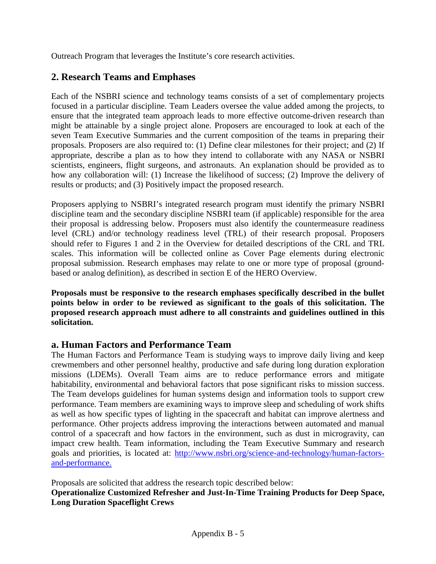Outreach Program that leverages the Institute's core research activities.

## **2. Research Teams and Emphases**

Each of the NSBRI science and technology teams consists of a set of complementary projects focused in a particular discipline. Team Leaders oversee the value added among the projects, to ensure that the integrated team approach leads to more effective outcome-driven research than might be attainable by a single project alone. Proposers are encouraged to look at each of the seven Team Executive Summaries and the current composition of the teams in preparing their proposals. Proposers are also required to: (1) Define clear milestones for their project; and (2) If appropriate, describe a plan as to how they intend to collaborate with any NASA or NSBRI scientists, engineers, flight surgeons, and astronauts. An explanation should be provided as to how any collaboration will: (1) Increase the likelihood of success; (2) Improve the delivery of results or products; and (3) Positively impact the proposed research.

Proposers applying to NSBRI's integrated research program must identify the primary NSBRI discipline team and the secondary discipline NSBRI team (if applicable) responsible for the area their proposal is addressing below. Proposers must also identify the countermeasure readiness level (CRL) and/or technology readiness level (TRL) of their research proposal. Proposers should refer to Figures 1 and 2 in the Overview for detailed descriptions of the CRL and TRL scales. This information will be collected online as Cover Page elements during electronic proposal submission. Research emphases may relate to one or more type of proposal (groundbased or analog definition), as described in section E of the HERO Overview.

**Proposals must be responsive to the research emphases specifically described in the bullet points below in order to be reviewed as significant to the goals of this solicitation. The proposed research approach must adhere to all constraints and guidelines outlined in this solicitation.**

## **a. Human Factors and Performance Team**

The Human Factors and Performance Team is studying ways to improve daily living and keep crewmembers and other personnel healthy, productive and safe during long duration exploration missions (LDEMs). Overall Team aims are to reduce performance errors and mitigate habitability, environmental and behavioral factors that pose significant risks to mission success. The Team develops guidelines for human systems design and information tools to support crew performance. Team members are examining ways to improve sleep and scheduling of work shifts as well as how specific types of lighting in the spacecraft and habitat can improve alertness and performance. Other projects address improving the interactions between automated and manual control of a spacecraft and how factors in the environment, such as dust in microgravity, can impact crew health. Team information, including the Team Executive Summary and research goals and priorities, is located at: [http://www.nsbri.org/science-and-technology/human-factors](http://www.nsbri.org/science-and-technology/human-factors-and-performance)[and-performance.](http://www.nsbri.org/science-and-technology/human-factors-and-performance)

Proposals are solicited that address the research topic described below:

**Operationalize Customized Refresher and Just-In-Time Training Products for Deep Space, Long Duration Spaceflight Crews**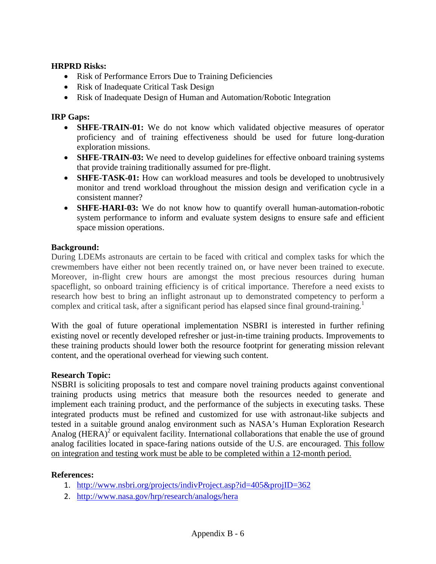#### **HRPRD Risks:**

- Risk of Performance Errors Due to Training Deficiencies
- Risk of Inadequate Critical Task Design
- Risk of Inadequate Design of Human and Automation/Robotic Integration

#### **IRP Gaps:**

- **SHFE-TRAIN-01:** We do not know which validated objective measures of operator proficiency and of training effectiveness should be used for future long-duration exploration missions.
- **SHFE-TRAIN-03:** We need to develop guidelines for effective onboard training systems that provide training traditionally assumed for pre-flight.
- **SHFE-TASK-01:** How can workload measures and tools be developed to unobtrusively monitor and trend workload throughout the mission design and verification cycle in a consistent manner?
- **SHFE-HARI-03:** We do not know how to quantify overall human-automation-robotic system performance to inform and evaluate system designs to ensure safe and efficient space mission operations.

#### **Background:**

During LDEMs astronauts are certain to be faced with critical and complex tasks for which the crewmembers have either not been recently trained on, or have never been trained to execute. Moreover, in-flight crew hours are amongst the most precious resources during human spaceflight, so onboard training efficiency is of critical importance. Therefore a need exists to research how best to bring an inflight astronaut up to demonstrated competency to perform a complex and critical task, after a significant period has elapsed since final ground-training.<sup>1</sup>

With the goal of future operational implementation NSBRI is interested in further refining existing novel or recently developed refresher or just-in-time training products. Improvements to these training products should lower both the resource footprint for generating mission relevant content, and the operational overhead for viewing such content.

#### **Research Topic:**

NSBRI is soliciting proposals to test and compare novel training products against conventional training products using metrics that measure both the resources needed to generate and implement each training product, and the performance of the subjects in executing tasks. These integrated products must be refined and customized for use with astronaut-like subjects and tested in a suitable ground analog environment such as NASA's Human Exploration Research Analog (HERA)<sup>2</sup> or equivalent facility. International collaborations that enable the use of ground analog facilities located in space-faring nations outside of the U.S. are encouraged. This follow on integration and testing work must be able to be completed within a 12-month period.

#### **References:**

- 1. <http://www.nsbri.org/projects/indivProject.asp?id=405&projID=362>
- 2. <http://www.nasa.gov/hrp/research/analogs/hera>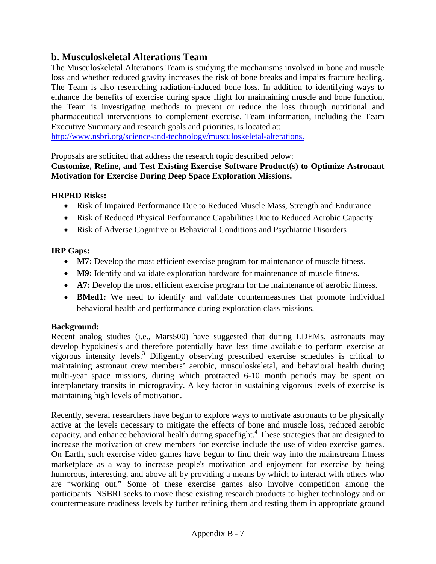## **b. Musculoskeletal Alterations Team**

The Musculoskeletal Alterations Team is studying the mechanisms involved in bone and muscle loss and whether reduced gravity increases the risk of bone breaks and impairs fracture healing. The Team is also researching radiation-induced bone loss. In addition to identifying ways to enhance the benefits of exercise during space flight for maintaining muscle and bone function, the Team is investigating methods to prevent or reduce the loss through nutritional and pharmaceutical interventions to complement exercise. Team information, including the Team Executive Summary and research goals and priorities, is located at:

[http://www.nsbri.org/science-and-technology/musculoskeletal-alterations.](http://www.nsbri.org/science-and-technology/musculoskeletal-alterations)

Proposals are solicited that address the research topic described below:

#### **Customize, Refine, and Test Existing Exercise Software Product(s) to Optimize Astronaut Motivation for Exercise During Deep Space Exploration Missions.**

#### **HRPRD Risks:**

- Risk of Impaired Performance Due to Reduced Muscle Mass, Strength and Endurance
- Risk of Reduced Physical Performance Capabilities Due to Reduced Aerobic Capacity
- Risk of Adverse Cognitive or Behavioral Conditions and Psychiatric Disorders

#### **IRP Gaps:**

- **M7:** Develop the most efficient exercise program for maintenance of muscle fitness.
- **M9:** Identify and validate exploration hardware for maintenance of muscle fitness.
- **A7:** Develop the most efficient exercise program for the maintenance of aerobic fitness.
- **BMed1:** We need to identify and validate countermeasures that promote individual behavioral health and performance during exploration class missions.

#### **Background:**

Recent analog studies (i.e., Mars500) have suggested that during LDEMs, astronauts may develop hypokinesis and therefore potentially have less time available to perform exercise at vigorous intensity levels.<sup>3</sup> Diligently observing prescribed exercise schedules is critical to maintaining astronaut crew members' aerobic, musculoskeletal, and behavioral health during multi-year space missions, during which protracted 6-10 month periods may be spent on interplanetary transits in microgravity. A key factor in sustaining vigorous levels of exercise is maintaining high levels of motivation.

Recently, several researchers have begun to explore ways to motivate astronauts to be physically active at the levels necessary to mitigate the effects of bone and muscle loss, reduced aerobic capacity, and enhance behavioral health during spaceflight.4 These strategies that are designed to increase the motivation of crew members for exercise include the use of video exercise games. On Earth, such exercise video games have begun to find their way into the mainstream fitness marketplace as a way to increase people's motivation and enjoyment for exercise by being humorous, interesting, and above all by providing a means by which to interact with others who are "working out." Some of these exercise games also involve competition among the participants. NSBRI seeks to move these existing research products to higher technology and or countermeasure readiness levels by further refining them and testing them in appropriate ground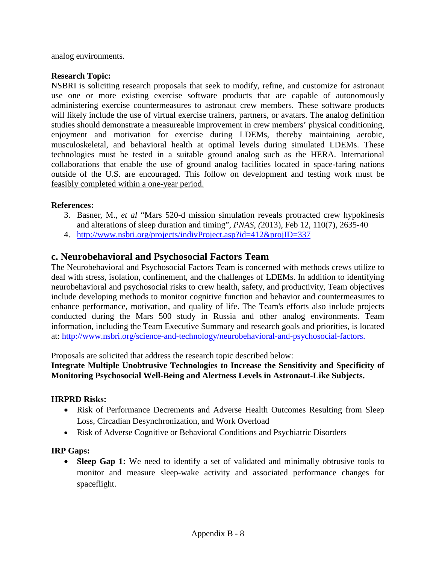analog environments.

#### **Research Topic:**

NSBRI is soliciting research proposals that seek to modify, refine, and customize for astronaut use one or more existing exercise software products that are capable of autonomously administering exercise countermeasures to astronaut crew members. These software products will likely include the use of virtual exercise trainers, partners, or avatars. The analog definition studies should demonstrate a measureable improvement in crew members' physical conditioning, enjoyment and motivation for exercise during LDEMs, thereby maintaining aerobic, musculoskeletal, and behavioral health at optimal levels during simulated LDEMs. These technologies must be tested in a suitable ground analog such as the HERA. International collaborations that enable the use of ground analog facilities located in space-faring nations outside of the U.S. are encouraged. This follow on development and testing work must be feasibly completed within a one-year period.

#### **References:**

- 3. Basner, M., *et al* "Mars 520-d mission simulation reveals protracted crew hypokinesis and alterations of sleep duration and timing"*, PNAS, (*2013), Feb 12, 110(7), 2635-40
- 4. <http://www.nsbri.org/projects/indivProject.asp?id=412&projID=337>

### **c. Neurobehavioral and Psychosocial Factors Team**

The Neurobehavioral and Psychosocial Factors Team is concerned with methods crews utilize to deal with stress, isolation, confinement, and the challenges of LDEMs. In addition to identifying neurobehavioral and psychosocial risks to crew health, safety, and productivity, Team objectives include developing methods to monitor cognitive function and behavior and countermeasures to enhance performance, motivation, and quality of life. The Team's efforts also include projects conducted during the Mars 500 study in Russia and other analog environments. Team information, including the Team Executive Summary and research goals and priorities, is located at: [http://www.nsbri.org/science-and-technology/neurobehavioral-and-psychosocial-factors.](http://www.nsbri.org/science-and-technology/neurobehavioral-and-psychosocial-factors)

Proposals are solicited that address the research topic described below:

#### **Integrate Multiple Unobtrusive Technologies to Increase the Sensitivity and Specificity of Monitoring Psychosocial Well-Being and Alertness Levels in Astronaut-Like Subjects.**

#### **HRPRD Risks:**

- Risk of Performance Decrements and Adverse Health Outcomes Resulting from Sleep Loss, Circadian Desynchronization, and Work Overload
- Risk of Adverse Cognitive or Behavioral Conditions and Psychiatric Disorders

#### **IRP Gaps:**

• **Sleep Gap 1:** We need to identify a set of validated and minimally obtrusive tools to monitor and measure sleep-wake activity and associated performance changes for spaceflight.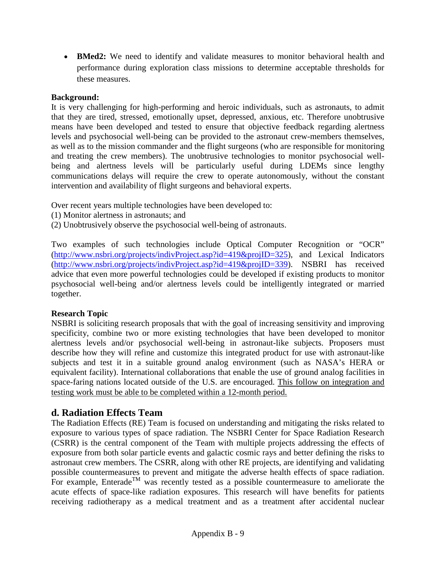• **BMed2:** We need to identify and validate measures to monitor behavioral health and performance during exploration class missions to determine acceptable thresholds for these measures.

#### **Background:**

It is very challenging for high-performing and heroic individuals, such as astronauts, to admit that they are tired, stressed, emotionally upset, depressed, anxious, etc. Therefore unobtrusive means have been developed and tested to ensure that objective feedback regarding alertness levels and psychosocial well-being can be provided to the astronaut crew-members themselves, as well as to the mission commander and the flight surgeons (who are responsible for monitoring and treating the crew members). The unobtrusive technologies to monitor psychosocial wellbeing and alertness levels will be particularly useful during LDEMs since lengthy communications delays will require the crew to operate autonomously, without the constant intervention and availability of flight surgeons and behavioral experts.

Over recent years multiple technologies have been developed to:

- (1) Monitor alertness in astronauts; and
- (2) Unobtrusively observe the psychosocial well-being of astronauts.

Two examples of such technologies include Optical Computer Recognition or "OCR" [\(http://www.nsbri.org/projects/indivProject.asp?id=419&projID=325\)](http://www.nsbri.org/projects/indivProject.asp?id=419&projID=325), and Lexical Indicators [\(http://www.nsbri.org/projects/indivProject.asp?id=419&projID=339\)](http://www.nsbri.org/projects/indivProject.asp?id=419&projID=339). NSBRI has received advice that even more powerful technologies could be developed if existing products to monitor psychosocial well-being and/or alertness levels could be intelligently integrated or married together.

#### **Research Topic**

NSBRI is soliciting research proposals that with the goal of increasing sensitivity and improving specificity, combine two or more existing technologies that have been developed to monitor alertness levels and/or psychosocial well-being in astronaut-like subjects. Proposers must describe how they will refine and customize this integrated product for use with astronaut-like subjects and test it in a suitable ground analog environment (such as NASA's HERA or equivalent facility). International collaborations that enable the use of ground analog facilities in space-faring nations located outside of the U.S. are encouraged. This follow on integration and testing work must be able to be completed within a 12-month period.

## **d. Radiation Effects Team**

The Radiation Effects (RE) Team is focused on understanding and mitigating the risks related to exposure to various types of space radiation. The NSBRI Center for Space Radiation Research (CSRR) is the central component of the Team with multiple projects addressing the effects of exposure from both solar particle events and galactic cosmic rays and better defining the risks to astronaut crew members. The CSRR, along with other RE projects, are identifying and validating possible countermeasures to prevent and mitigate the adverse health effects of space radiation. For example, Enterade<sup>TM</sup> was recently tested as a possible countermeasure to ameliorate the acute effects of space-like radiation exposures. This research will have benefits for patients receiving radiotherapy as a medical treatment and as a treatment after accidental nuclear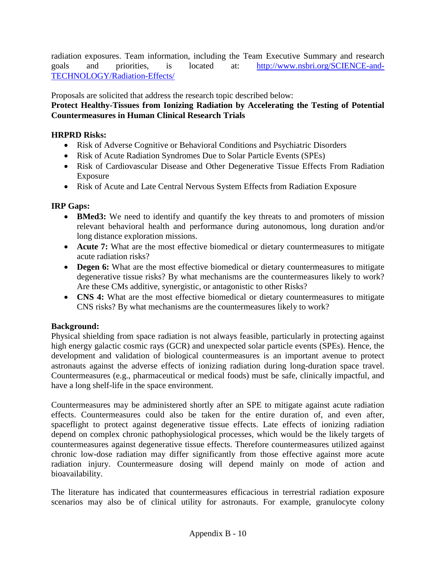radiation exposures. Team information, including the Team Executive Summary and research goals and priorities, is located at: [http://www.nsbri.org/SCIENCE-and-](http://www.nsbri.org/SCIENCE-and-TECHNOLOGY/Radiation-Effects/)[TECHNOLOGY/Radiation-Effects/](http://www.nsbri.org/SCIENCE-and-TECHNOLOGY/Radiation-Effects/)

Proposals are solicited that address the research topic described below:

### **Protect Healthy-Tissues from Ionizing Radiation by Accelerating the Testing of Potential Countermeasures in Human Clinical Research Trials**

### **HRPRD Risks:**

- Risk of Adverse Cognitive or Behavioral Conditions and Psychiatric Disorders
- Risk of Acute Radiation Syndromes Due to Solar Particle Events (SPEs)
- Risk of Cardiovascular Disease and Other Degenerative Tissue Effects From Radiation Exposure
- Risk of Acute and Late Central Nervous System Effects from Radiation Exposure

### **IRP Gaps:**

- **BMed3:** We need to identify and quantify the key threats to and promoters of mission relevant behavioral health and performance during autonomous, long duration and/or long distance exploration missions.
- **Acute 7:** What are the most effective biomedical or dietary countermeasures to mitigate acute radiation risks?
- **Degen 6:** What are the most effective biomedical or dietary countermeasures to mitigate degenerative tissue risks? By what mechanisms are the countermeasures likely to work? Are these CMs additive, synergistic, or antagonistic to other Risks?
- **CNS 4:** What are the most effective biomedical or dietary countermeasures to mitigate CNS risks? By what mechanisms are the countermeasures likely to work?

## **Background:**

Physical shielding from space radiation is not always feasible, particularly in protecting against high energy galactic cosmic rays (GCR) and unexpected solar particle events (SPEs). Hence, the development and validation of biological countermeasures is an important avenue to protect astronauts against the adverse effects of ionizing radiation during long-duration space travel. Countermeasures (e.g., pharmaceutical or medical foods) must be safe, clinically impactful, and have a long shelf-life in the space environment.

Countermeasures may be administered shortly after an SPE to mitigate against acute radiation effects. Countermeasures could also be taken for the entire duration of, and even after, spaceflight to protect against degenerative tissue effects. Late effects of ionizing radiation depend on complex chronic pathophysiological processes, which would be the likely targets of countermeasures against degenerative tissue effects. Therefore countermeasures utilized against chronic low-dose radiation may differ significantly from those effective against more acute radiation injury. Countermeasure dosing will depend mainly on mode of action and bioavailability.

The literature has indicated that countermeasures efficacious in terrestrial radiation exposure scenarios may also be of clinical utility for astronauts. For example, granulocyte colony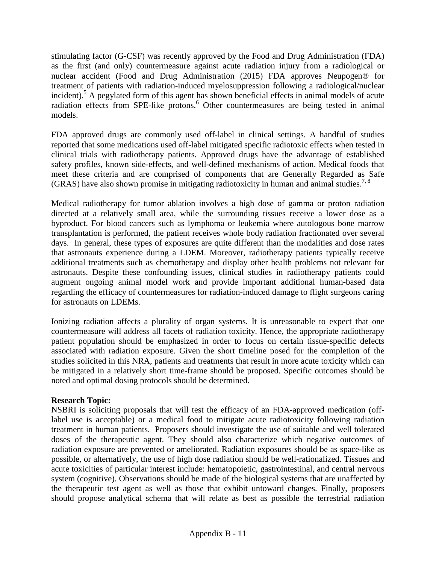stimulating factor (G-CSF) was recently approved by the Food and Drug Administration (FDA) as the first (and only) countermeasure against acute radiation injury from a radiological or nuclear accident (Food and Drug Administration (2015) FDA approves Neupogen® for treatment of patients with radiation-induced myelosuppression following a radiological/nuclear incident). <sup>5</sup> A pegylated form of this agent has shown beneficial effects in animal models of acute radiation effects from SPE-like protons.<sup>6</sup> Other countermeasures are being tested in animal models.

FDA approved drugs are commonly used off-label in clinical settings. A handful of studies reported that some medications used off-label mitigated specific radiotoxic effects when tested in clinical trials with radiotherapy patients. Approved drugs have the advantage of established safety profiles, known side-effects, and well-defined mechanisms of action. Medical foods that meet these criteria and are comprised of components that are Generally Regarded as Safe (GRAS) have also shown promise in mitigating radiotoxicity in human and animal studies.<sup>7, 8</sup>

Medical radiotherapy for tumor ablation involves a high dose of gamma or proton radiation directed at a relatively small area, while the surrounding tissues receive a lower dose as a byproduct. For blood cancers such as lymphoma or leukemia where autologous bone marrow transplantation is performed, the patient receives whole body radiation fractionated over several days. In general, these types of exposures are quite different than the modalities and dose rates that astronauts experience during a LDEM. Moreover, radiotherapy patients typically receive additional treatments such as chemotherapy and display other health problems not relevant for astronauts. Despite these confounding issues, clinical studies in radiotherapy patients could augment ongoing animal model work and provide important additional human-based data regarding the efficacy of countermeasures for radiation-induced damage to flight surgeons caring for astronauts on LDEMs.

Ionizing radiation affects a plurality of organ systems. It is unreasonable to expect that one countermeasure will address all facets of radiation toxicity. Hence, the appropriate radiotherapy patient population should be emphasized in order to focus on certain tissue-specific defects associated with radiation exposure. Given the short timeline posed for the completion of the studies solicited in this NRA, patients and treatments that result in more acute toxicity which can be mitigated in a relatively short time-frame should be proposed. Specific outcomes should be noted and optimal dosing protocols should be determined.

#### **Research Topic:**

NSBRI is soliciting proposals that will test the efficacy of an FDA-approved medication (offlabel use is acceptable) or a medical food to mitigate acute radiotoxicity following radiation treatment in human patients. Proposers should investigate the use of suitable and well tolerated doses of the therapeutic agent. They should also characterize which negative outcomes of radiation exposure are prevented or ameliorated. Radiation exposures should be as space-like as possible, or alternatively, the use of high dose radiation should be well-rationalized. Tissues and acute toxicities of particular interest include: hematopoietic, gastrointestinal, and central nervous system (cognitive). Observations should be made of the biological systems that are unaffected by the therapeutic test agent as well as those that exhibit untoward changes. Finally, proposers should propose analytical schema that will relate as best as possible the terrestrial radiation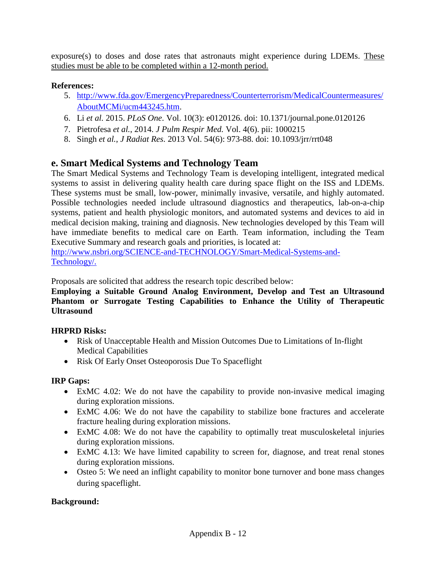exposure(s) to doses and dose rates that astronauts might experience during LDEMs. These studies must be able to be completed within a 12-month period.

#### **References:**

- 5. [http://www.fda.gov/EmergencyPreparedness/Counterterrorism/MedicalCountermeasures/](http://www.fda.gov/EmergencyPreparedness/Counterterrorism/MedicalCountermeasures/AboutMCMi/ucm443245.htm) [AboutMCMi/ucm443245.htm.](http://www.fda.gov/EmergencyPreparedness/Counterterrorism/MedicalCountermeasures/AboutMCMi/ucm443245.htm)
- 6. Li *et al.* 2015. *PLoS One*. Vol. 10(3): e0120126. doi: 10.1371/journal.pone.0120126
- 7. Pietrofesa *et al.*, 2014. *[J Pulm Respir Med.](http://www.ncbi.nlm.nih.gov/pubmed/25705570)* Vol. 4(6). pii: 1000215
- 8. Singh *et al.*, *J Radiat Res.* 2013 Vol. 54(6): 973-88. doi: 10.1093/jrr/rrt048

## **e. Smart Medical Systems and Technology Team**

The Smart Medical Systems and Technology Team is developing intelligent, integrated medical systems to assist in delivering quality health care during space flight on the ISS and LDEMs. These systems must be small, low-power, minimally invasive, versatile, and highly automated. Possible technologies needed include ultrasound diagnostics and therapeutics, lab-on-a-chip systems, patient and health physiologic monitors, and automated systems and devices to aid in medical decision making, training and diagnosis. New technologies developed by this Team will have immediate benefits to medical care on Earth. Team information, including the Team Executive Summary and research goals and priorities, is located at:

[http://www.nsbri.org/SCIENCE-and-TECHNOLOGY/Smart-Medical-Systems-and-](http://www.nsbri.org/SCIENCE-and-TECHNOLOGY/Smart-Medical-Systems-and-Technology/)[Technology/.](http://www.nsbri.org/SCIENCE-and-TECHNOLOGY/Smart-Medical-Systems-and-Technology/)

Proposals are solicited that address the research topic described below:

#### **Employing a Suitable Ground Analog Environment, Develop and Test an Ultrasound Phantom or Surrogate Testing Capabilities to Enhance the Utility of Therapeutic Ultrasound**

### **HRPRD Risks:**

- Risk of Unacceptable Health and Mission Outcomes Due to Limitations of In-flight Medical Capabilities
- Risk Of Early Onset Osteoporosis Due To Spaceflight

### **IRP Gaps:**

- ExMC 4.02: We do not have the capability to provide non-invasive medical imaging during exploration missions.
- ExMC 4.06: We do not have the capability to stabilize bone fractures and accelerate fracture healing during exploration missions.
- ExMC 4.08: We do not have the capability to optimally treat musculoskeletal injuries during exploration missions.
- ExMC 4.13: We have limited capability to screen for, diagnose, and treat renal stones during exploration missions.
- Osteo 5: We need an inflight capability to monitor bone turnover and bone mass changes during spaceflight.

### **Background:**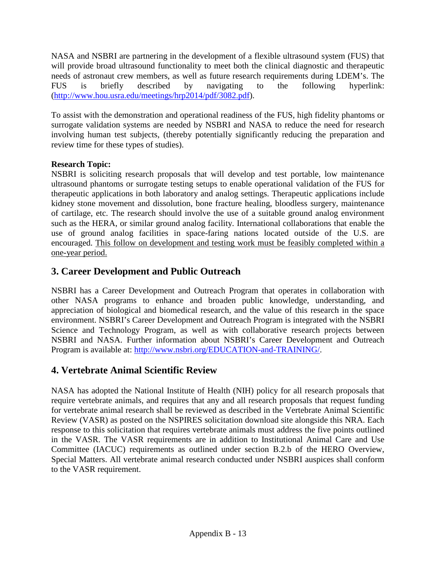NASA and NSBRI are partnering in the development of a flexible ultrasound system (FUS) that will provide broad ultrasound functionality to meet both the clinical diagnostic and therapeutic needs of astronaut crew members, as well as future research requirements during LDEM's. The FUS is briefly described by navigating to the following hyperlink: [\(http://www.hou.usra.edu/meetings/hrp2014/pdf/3082.pdf\)](http://www.hou.usra.edu/meetings/hrp2014/pdf/3082.pdf).

To assist with the demonstration and operational readiness of the FUS, high fidelity phantoms or surrogate validation systems are needed by NSBRI and NASA to reduce the need for research involving human test subjects, (thereby potentially significantly reducing the preparation and review time for these types of studies).

### **Research Topic:**

NSBRI is soliciting research proposals that will develop and test portable, low maintenance ultrasound phantoms or surrogate testing setups to enable operational validation of the FUS for therapeutic applications in both laboratory and analog settings. Therapeutic applications include kidney stone movement and dissolution, bone fracture healing, bloodless surgery, maintenance of cartilage, etc. The research should involve the use of a suitable ground analog environment such as the HERA, or similar ground analog facility. International collaborations that enable the use of ground analog facilities in space-faring nations located outside of the U.S. are encouraged. This follow on development and testing work must be feasibly completed within a one-year period.

## **3. Career Development and Public Outreach**

NSBRI has a Career Development and Outreach Program that operates in collaboration with other NASA programs to enhance and broaden public knowledge, understanding, and appreciation of biological and biomedical research, and the value of this research in the space environment. NSBRI's Career Development and Outreach Program is integrated with the NSBRI Science and Technology Program, as well as with collaborative research projects between NSBRI and NASA. Further information about NSBRI's Career Development and Outreach Program is available at: [http://www.nsbri.org/EDUCATION-and-TRAINING/.](http://www.nsbri.org/EDUCATION-and-TRAINING/)

## **4. Vertebrate Animal Scientific Review**

NASA has adopted the National Institute of Health (NIH) policy for all research proposals that require vertebrate animals, and requires that any and all research proposals that request funding for vertebrate animal research shall be reviewed as described in the Vertebrate Animal Scientific Review (VASR) as posted on the NSPIRES solicitation download site alongside this NRA. Each response to this solicitation that requires vertebrate animals must address the five points outlined in the VASR. The VASR requirements are in addition to Institutional Animal Care and Use Committee (IACUC) requirements as outlined under section B.2.b of the HERO Overview, Special Matters. All vertebrate animal research conducted under NSBRI auspices shall conform to the VASR requirement.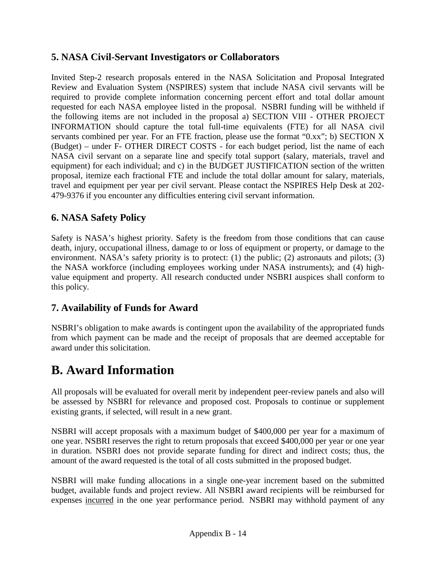## **5. NASA Civil-Servant Investigators or Collaborators**

Invited Step-2 research proposals entered in the NASA Solicitation and Proposal Integrated Review and Evaluation System (NSPIRES) system that include NASA civil servants will be required to provide complete information concerning percent effort and total dollar amount requested for each NASA employee listed in the proposal. NSBRI funding will be withheld if the following items are not included in the proposal a) SECTION VIII - OTHER PROJECT INFORMATION should capture the total full-time equivalents (FTE) for all NASA civil servants combined per year. For an FTE fraction, please use the format "0.xx"; b) SECTION X (Budget) – under F- OTHER DIRECT COSTS - for each budget period, list the name of each NASA civil servant on a separate line and specify total support (salary, materials, travel and equipment) for each individual; and c) in the BUDGET JUSTIFICATION section of the written proposal, itemize each fractional FTE and include the total dollar amount for salary, materials, travel and equipment per year per civil servant. Please contact the NSPIRES Help Desk at 202- 479-9376 if you encounter any difficulties entering civil servant information.

## **6. NASA Safety Policy**

Safety is NASA's highest priority. Safety is the freedom from those conditions that can cause death, injury, occupational illness, damage to or loss of equipment or property, or damage to the environment. NASA's safety priority is to protect: (1) the public; (2) astronauts and pilots; (3) the NASA workforce (including employees working under NASA instruments); and (4) highvalue equipment and property. All research conducted under NSBRI auspices shall conform to this policy.

## **7. Availability of Funds for Award**

NSBRI's obligation to make awards is contingent upon the availability of the appropriated funds from which payment can be made and the receipt of proposals that are deemed acceptable for award under this solicitation.

## **B. Award Information**

All proposals will be evaluated for overall merit by independent peer-review panels and also will be assessed by NSBRI for relevance and proposed cost. Proposals to continue or supplement existing grants, if selected, will result in a new grant.

NSBRI will accept proposals with a maximum budget of \$400,000 per year for a maximum of one year. NSBRI reserves the right to return proposals that exceed \$400,000 per year or one year in duration. NSBRI does not provide separate funding for direct and indirect costs; thus, the amount of the award requested is the total of all costs submitted in the proposed budget.

NSBRI will make funding allocations in a single one-year increment based on the submitted budget, available funds and project review. All NSBRI award recipients will be reimbursed for expenses incurred in the one year performance period. NSBRI may withhold payment of any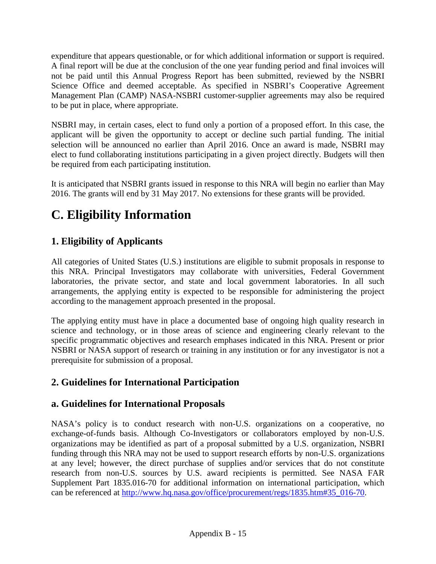expenditure that appears questionable, or for which additional information or support is required. A final report will be due at the conclusion of the one year funding period and final invoices will not be paid until this Annual Progress Report has been submitted, reviewed by the NSBRI Science Office and deemed acceptable. As specified in NSBRI's Cooperative Agreement Management Plan (CAMP) NASA-NSBRI customer-supplier agreements may also be required to be put in place, where appropriate.

NSBRI may, in certain cases, elect to fund only a portion of a proposed effort. In this case, the applicant will be given the opportunity to accept or decline such partial funding. The initial selection will be announced no earlier than April 2016. Once an award is made, NSBRI may elect to fund collaborating institutions participating in a given project directly. Budgets will then be required from each participating institution.

It is anticipated that NSBRI grants issued in response to this NRA will begin no earlier than May 2016. The grants will end by 31 May 2017. No extensions for these grants will be provided.

# **C. Eligibility Information**

## **1. Eligibility of Applicants**

All categories of United States (U.S.) institutions are eligible to submit proposals in response to this NRA. Principal Investigators may collaborate with universities, Federal Government laboratories, the private sector, and state and local government laboratories. In all such arrangements, the applying entity is expected to be responsible for administering the project according to the management approach presented in the proposal.

The applying entity must have in place a documented base of ongoing high quality research in science and technology, or in those areas of science and engineering clearly relevant to the specific programmatic objectives and research emphases indicated in this NRA. Present or prior NSBRI or NASA support of research or training in any institution or for any investigator is not a prerequisite for submission of a proposal.

## **2. Guidelines for International Participation**

## **a. Guidelines for International Proposals**

NASA's policy is to conduct research with non-U.S. organizations on a cooperative, no exchange-of-funds basis. Although Co-Investigators or collaborators employed by non-U.S. organizations may be identified as part of a proposal submitted by a U.S. organization, NSBRI funding through this NRA may not be used to support research efforts by non-U.S. organizations at any level; however, the direct purchase of supplies and/or services that do not constitute research from non-U.S. sources by U.S. award recipients is permitted. See NASA FAR Supplement Part 1835.016-70 for additional information on international participation, which can be referenced at [http://www.hq.nasa.gov/office/procurement/regs/1835.htm#35\\_016-70.](http://www.hq.nasa.gov/office/procurement/regs/1835.htm%2335_016-70)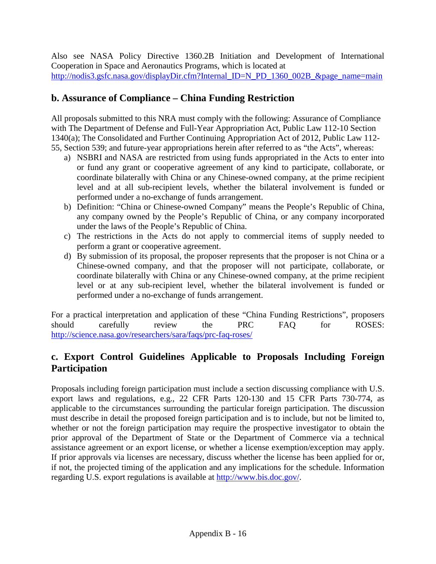Also see NASA Policy Directive 1360.2B Initiation and Development of International Cooperation in Space and Aeronautics Programs, which is located at [http://nodis3.gsfc.nasa.gov/displayDir.cfm?Internal\\_ID=N\\_PD\\_1360\\_002B\\_&page\\_name=main](http://nodis3.gsfc.nasa.gov/displayDir.cfm?Internal_ID=N_PD_1360_002B_&page_name=main)

## **b. Assurance of Compliance – China Funding Restriction**

All proposals submitted to this NRA must comply with the following: Assurance of Compliance with The Department of Defense and Full-Year Appropriation Act, Public Law 112-10 Section 1340(a); The Consolidated and Further Continuing Appropriation Act of 2012, Public Law 112- 55, Section 539; and future-year appropriations herein after referred to as "the Acts", whereas:

- a) NSBRI and NASA are restricted from using funds appropriated in the Acts to enter into or fund any grant or cooperative agreement of any kind to participate, collaborate, or coordinate bilaterally with China or any Chinese-owned company, at the prime recipient level and at all sub-recipient levels, whether the bilateral involvement is funded or performed under a no-exchange of funds arrangement.
- b) Definition: "China or Chinese-owned Company" means the People's Republic of China, any company owned by the People's Republic of China, or any company incorporated under the laws of the People's Republic of China.
- c) The restrictions in the Acts do not apply to commercial items of supply needed to perform a grant or cooperative agreement.
- d) By submission of its proposal, the proposer represents that the proposer is not China or a Chinese-owned company, and that the proposer will not participate, collaborate, or coordinate bilaterally with China or any Chinese-owned company, at the prime recipient level or at any sub-recipient level, whether the bilateral involvement is funded or performed under a no-exchange of funds arrangement.

For a practical interpretation and application of these "China Funding Restrictions", proposers should carefully review the PRC FAQ for ROSES: <http://science.nasa.gov/researchers/sara/faqs/prc-faq-roses/>

## **c. Export Control Guidelines Applicable to Proposals Including Foreign Participation**

Proposals including foreign participation must include a section discussing compliance with U.S. export laws and regulations, e.g., 22 CFR Parts 120-130 and 15 CFR Parts 730-774, as applicable to the circumstances surrounding the particular foreign participation. The discussion must describe in detail the proposed foreign participation and is to include, but not be limited to, whether or not the foreign participation may require the prospective investigator to obtain the prior approval of the Department of State or the Department of Commerce via a technical assistance agreement or an export license, or whether a license exemption/exception may apply. If prior approvals via licenses are necessary, discuss whether the license has been applied for or, if not, the projected timing of the application and any implications for the schedule. Information regarding U.S. export regulations is available at [http://www.bis.doc.gov/.](http://www.bis.doc.gov/)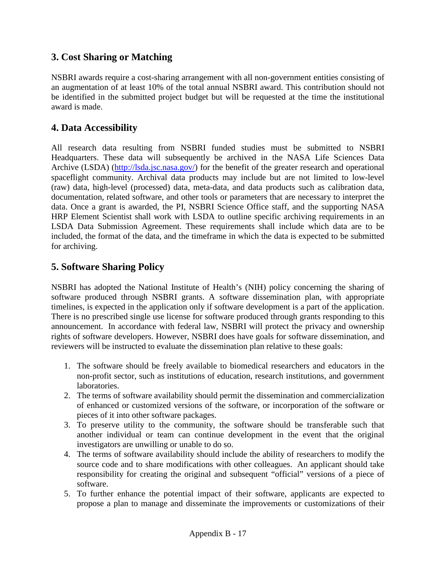## **3. Cost Sharing or Matching**

NSBRI awards require a cost-sharing arrangement with all non-government entities consisting of an augmentation of at least 10% of the total annual NSBRI award. This contribution should not be identified in the submitted project budget but will be requested at the time the institutional award is made.

## **4. Data Accessibility**

All research data resulting from NSBRI funded studies must be submitted to NSBRI Headquarters. These data will subsequently be archived in the NASA Life Sciences Data Archive (LSDA) [\(http://lsda.jsc.nasa.gov/\)](http://lsda.jsc.nasa.gov/) for the benefit of the greater research and operational spaceflight community. Archival data products may include but are not limited to low-level (raw) data, high-level (processed) data, meta-data, and data products such as calibration data, documentation, related software, and other tools or parameters that are necessary to interpret the data. Once a grant is awarded, the PI, NSBRI Science Office staff, and the supporting NASA HRP Element Scientist shall work with LSDA to outline specific archiving requirements in an LSDA Data Submission Agreement. These requirements shall include which data are to be included, the format of the data, and the timeframe in which the data is expected to be submitted for archiving.

## **5. Software Sharing Policy**

NSBRI has adopted the National Institute of Health's (NIH) policy concerning the sharing of software produced through NSBRI grants. A software dissemination plan, with appropriate timelines, is expected in the application only if software development is a part of the application. There is no prescribed single use license for software produced through grants responding to this announcement. In accordance with federal law, NSBRI will protect the privacy and ownership rights of software developers. However, NSBRI does have goals for software dissemination, and reviewers will be instructed to evaluate the dissemination plan relative to these goals:

- 1. The software should be freely available to biomedical researchers and educators in the non-profit sector, such as institutions of education, research institutions, and government laboratories.
- 2. The terms of software availability should permit the dissemination and commercialization of enhanced or customized versions of the software, or incorporation of the software or pieces of it into other software packages.
- 3. To preserve utility to the community, the software should be transferable such that another individual or team can continue development in the event that the original investigators are unwilling or unable to do so.
- 4. The terms of software availability should include the ability of researchers to modify the source code and to share modifications with other colleagues. An applicant should take responsibility for creating the original and subsequent "official" versions of a piece of software.
- 5. To further enhance the potential impact of their software, applicants are expected to propose a plan to manage and disseminate the improvements or customizations of their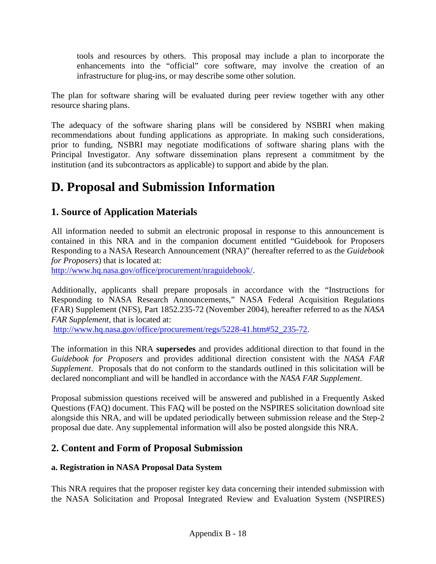tools and resources by others. This proposal may include a plan to incorporate the enhancements into the "official" core software, may involve the creation of an infrastructure for plug-ins, or may describe some other solution.

The plan for software sharing will be evaluated during peer review together with any other resource sharing plans.

The adequacy of the software sharing plans will be considered by NSBRI when making recommendations about funding applications as appropriate. In making such considerations, prior to funding, NSBRI may negotiate modifications of software sharing plans with the Principal Investigator. Any software dissemination plans represent a commitment by the institution (and its subcontractors as applicable) to support and abide by the plan.

## **D. Proposal and Submission Information**

## **1. Source of Application Materials**

All information needed to submit an electronic proposal in response to this announcement is contained in this NRA and in the companion document entitled "Guidebook for Proposers Responding to a NASA Research Announcement (NRA)" (hereafter referred to as the *Guidebook for Proposers*) that is located at:

[http://www.hq.nasa.gov/office/procurement/nraguidebook/.](http://www.hq.nasa.gov/office/procurement/nraguidebook/)

Additionally, applicants shall prepare proposals in accordance with the "Instructions for Responding to NASA Research Announcements," NASA Federal Acquisition Regulations (FAR) Supplement (NFS), Part 1852.235-72 (November 2004), hereafter referred to as the *NASA FAR Supplement,* that is located at:

[http://www.hq.nasa.gov/office/procurement/regs/5228-41.htm#52\\_235-72.](http://www.hq.nasa.gov/office/procurement/regs/5228-41.htm%2352_235-72)

The information in this NRA **supersedes** and provides additional direction to that found in the *Guidebook for Proposers* and provides additional direction consistent with the *NASA FAR Supplement*. Proposals that do not conform to the standards outlined in this solicitation will be declared noncompliant and will be handled in accordance with the *NASA FAR Supplement*.

Proposal submission questions received will be answered and published in a Frequently Asked Questions (FAQ) document. This FAQ will be posted on the NSPIRES solicitation download site alongside this NRA, and will be updated periodically between submission release and the Step-2 proposal due date. Any supplemental information will also be posted alongside this NRA.

## **2. Content and Form of Proposal Submission**

### **a. Registration in NASA Proposal Data System**

This NRA requires that the proposer register key data concerning their intended submission with the NASA Solicitation and Proposal Integrated Review and Evaluation System (NSPIRES)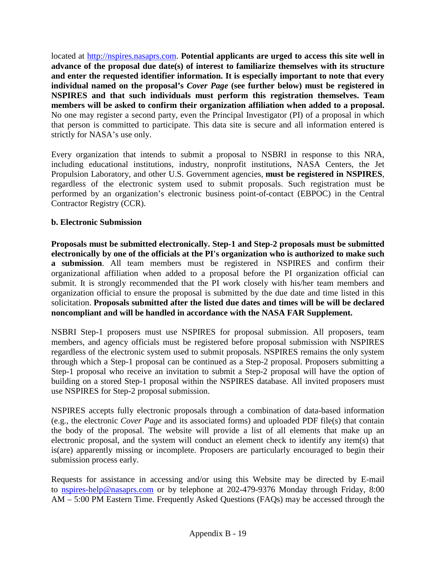located at [http://nspires.nasaprs.com.](http://nspires.nasaprs.com/) **Potential applicants are urged to access this site well in advance of the proposal due date(s) of interest to familiarize themselves with its structure and enter the requested identifier information. It is especially important to note that every individual named on the proposal's** *Cover Page* **(see further below) must be registered in NSPIRES and that such individuals must perform this registration themselves. Team members will be asked to confirm their organization affiliation when added to a proposal.**  No one may register a second party, even the Principal Investigator (PI) of a proposal in which that person is committed to participate. This data site is secure and all information entered is strictly for NASA's use only.

Every organization that intends to submit a proposal to NSBRI in response to this NRA, including educational institutions, industry, nonprofit institutions, NASA Centers, the Jet Propulsion Laboratory, and other U.S. Government agencies, **must be registered in NSPIRES**, regardless of the electronic system used to submit proposals. Such registration must be performed by an organization's electronic business point-of-contact (EBPOC) in the Central Contractor Registry (CCR).

#### **b. Electronic Submission**

**Proposals must be submitted electronically. Step-1 and Step-2 proposals must be submitted electronically by one of the officials at the PI's organization who is authorized to make such a submission**. All team members must be registered in NSPIRES and confirm their organizational affiliation when added to a proposal before the PI organization official can submit. It is strongly recommended that the PI work closely with his/her team members and organization official to ensure the proposal is submitted by the due date and time listed in this solicitation. **Proposals submitted after the listed due dates and times will be will be declared noncompliant and will be handled in accordance with the NASA FAR Supplement.**

NSBRI Step-1 proposers must use NSPIRES for proposal submission. All proposers, team members, and agency officials must be registered before proposal submission with NSPIRES regardless of the electronic system used to submit proposals. NSPIRES remains the only system through which a Step-1 proposal can be continued as a Step-2 proposal. Proposers submitting a Step-1 proposal who receive an invitation to submit a Step-2 proposal will have the option of building on a stored Step-1 proposal within the NSPIRES database. All invited proposers must use NSPIRES for Step-2 proposal submission.

NSPIRES accepts fully electronic proposals through a combination of data-based information (e.g., the electronic *Cover Page* and its associated forms) and uploaded PDF file(s) that contain the body of the proposal. The website will provide a list of all elements that make up an electronic proposal, and the system will conduct an element check to identify any item(s) that is(are) apparently missing or incomplete. Proposers are particularly encouraged to begin their submission process early.

Requests for assistance in accessing and/or using this Website may be directed by E-mail to [nspires-help@nasaprs.com](mailto:nspires-help@nasaprs.com) or by telephone at 202-479-9376 Monday through Friday, 8:00 AM – 5:00 PM Eastern Time. Frequently Asked Questions (FAQs) may be accessed through the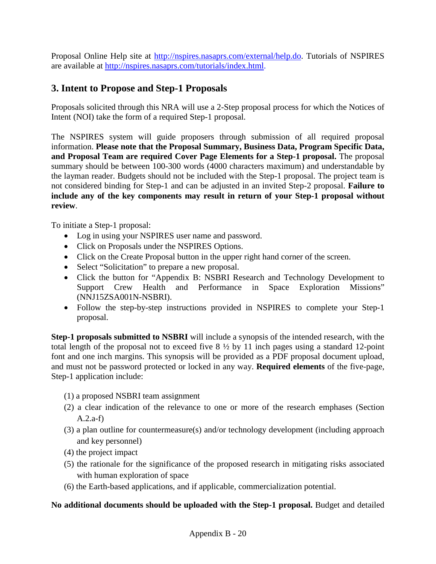Proposal Online Help site at [http://nspires.nasaprs.com/external/help.do.](http://nspires.nasaprs.com/external/help.do) Tutorials of NSPIRES are available at [http://nspires.nasaprs.com/tutorials/index.html.](http://nspires.nasaprs.com/tutorials/index.html)

## **3. Intent to Propose and Step-1 Proposals**

Proposals solicited through this NRA will use a 2-Step proposal process for which the Notices of Intent (NOI) take the form of a required Step-1 proposal.

The NSPIRES system will guide proposers through submission of all required proposal information. **Please note that the Proposal Summary, Business Data, Program Specific Data, and Proposal Team are required Cover Page Elements for a Step-1 proposal.** The proposal summary should be between 100-300 words (4000 characters maximum) and understandable by the layman reader. Budgets should not be included with the Step-1 proposal. The project team is not considered binding for Step-1 and can be adjusted in an invited Step-2 proposal. **Failure to include any of the key components may result in return of your Step-1 proposal without review**.

To initiate a Step-1 proposal:

- Log in using your NSPIRES user name and password.
- Click on Proposals under the NSPIRES Options.
- Click on the Create Proposal button in the upper right hand corner of the screen.
- Select "Solicitation" to prepare a new proposal.
- Click the button for "Appendix B: NSBRI Research and Technology Development to Support Crew Health and Performance in Space Exploration Missions" (NNJ15ZSA001N-NSBRI).
- Follow the step-by-step instructions provided in NSPIRES to complete your Step-1 proposal.

**Step-1 proposals submitted to NSBRI** will include a synopsis of the intended research, with the total length of the proposal not to exceed five  $8\frac{1}{2}$  by 11 inch pages using a standard 12-point font and one inch margins. This synopsis will be provided as a PDF proposal document upload, and must not be password protected or locked in any way. **Required elements** of the five-page, Step-1 application include:

- (1) a proposed NSBRI team assignment
- (2) a clear indication of the relevance to one or more of the research emphases (Section A.2.a-f)
- (3) a plan outline for countermeasure(s) and/or technology development (including approach and key personnel)
- (4) the project impact
- (5) the rationale for the significance of the proposed research in mitigating risks associated with human exploration of space
- (6) the Earth-based applications, and if applicable, commercialization potential.

#### **No additional documents should be uploaded with the Step-1 proposal.** Budget and detailed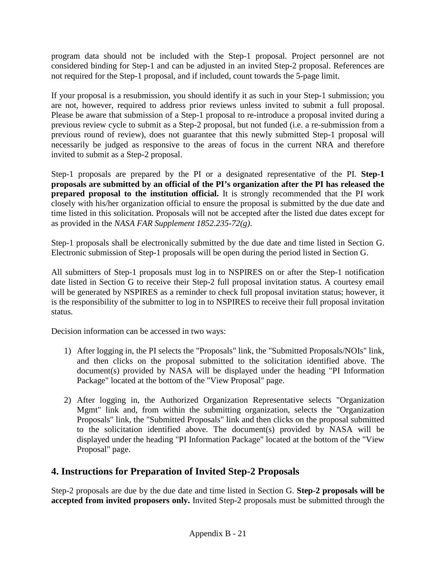program data should not be included with the Step-1 proposal. Project personnel are not considered binding for Step-1 and can be adjusted in an invited Step-2 proposal. References are not required for the Step-1 proposal, and if included, count towards the 5-page limit.

If your proposal is a resubmission, you should identify it as such in your Step-1 submission; you are not, however, required to address prior reviews unless invited to submit a full proposal. Please be aware that submission of a Step-1 proposal to re-introduce a proposal invited during a previous review cycle to submit as a Step-2 proposal, but not funded (i.e. a re-submission from a previous round of review), does not guarantee that this newly submitted Step-1 proposal will necessarily be judged as responsive to the areas of focus in the current NRA and therefore invited to submit as a Step-2 proposal.

Step-1 proposals are prepared by the PI or a designated representative of the PI. **Step-1 proposals are submitted by an official of the PI's organization after the PI has released the prepared proposal to the institution official.** It is strongly recommended that the PI work closely with his/her organization official to ensure the proposal is submitted by the due date and time listed in this solicitation. Proposals will not be accepted after the listed due dates except for as provided in the *NASA FAR Supplement 1852.235-72(g)*.

Step-1 proposals shall be electronically submitted by the due date and time listed in Section G. Electronic submission of Step-1 proposals will be open during the period listed in Section G.

All submitters of Step-1 proposals must log in to NSPIRES on or after the Step-1 notification date listed in Section G to receive their Step-2 full proposal invitation status. A courtesy email will be generated by NSPIRES as a reminder to check full proposal invitation status; however, it is the responsibility of the submitter to log in to NSPIRES to receive their full proposal invitation status.

Decision information can be accessed in two ways:

- 1) After logging in, the PI selects the "Proposals" link, the "Submitted Proposals/NOIs" link, and then clicks on the proposal submitted to the solicitation identified above. The document(s) provided by NASA will be displayed under the heading "PI Information Package" located at the bottom of the "View Proposal" page.
- 2) After logging in, the Authorized Organization Representative selects "Organization Mgmt" link and, from within the submitting organization, selects the "Organization Proposals" link, the "Submitted Proposals" link and then clicks on the proposal submitted to the solicitation identified above. The document(s) provided by NASA will be displayed under the heading "PI Information Package" located at the bottom of the "View Proposal" page.

## **4. Instructions for Preparation of Invited Step-2 Proposals**

Step-2 proposals are due by the due date and time listed in Section G. **Step-2 proposals will be accepted from invited proposers only.** Invited Step-2 proposals must be submitted through the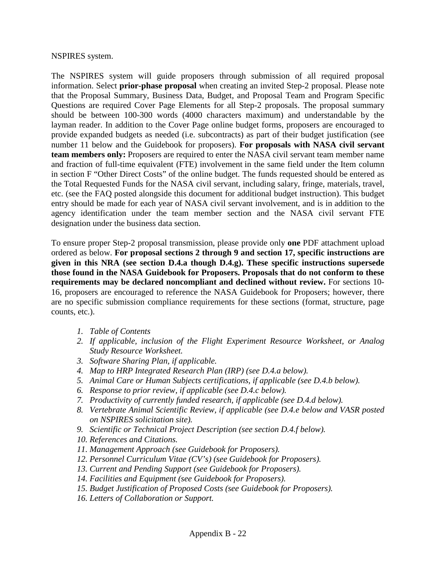#### NSPIRES system.

The NSPIRES system will guide proposers through submission of all required proposal information. Select **prior-phase proposal** when creating an invited Step-2 proposal. Please note that the Proposal Summary, Business Data, Budget, and Proposal Team and Program Specific Questions are required Cover Page Elements for all Step-2 proposals. The proposal summary should be between 100-300 words (4000 characters maximum) and understandable by the layman reader. In addition to the Cover Page online budget forms, proposers are encouraged to provide expanded budgets as needed (i.e. subcontracts) as part of their budget justification (see number 11 below and the Guidebook for proposers). **For proposals with NASA civil servant team members only:** Proposers are required to enter the NASA civil servant team member name and fraction of full-time equivalent (FTE) involvement in the same field under the Item column in section F "Other Direct Costs" of the online budget. The funds requested should be entered as the Total Requested Funds for the NASA civil servant, including salary, fringe, materials, travel, etc. (see the FAQ posted alongside this document for additional budget instruction). This budget entry should be made for each year of NASA civil servant involvement, and is in addition to the agency identification under the team member section and the NASA civil servant FTE designation under the business data section.

To ensure proper Step-2 proposal transmission, please provide only **one** PDF attachment upload ordered as below. **For proposal sections 2 through 9 and section 17, specific instructions are given in this NRA (see section D.4.a though D.4.g). These specific instructions supersede those found in the NASA Guidebook for Proposers. Proposals that do not conform to these requirements may be declared noncompliant and declined without review.** For sections 10- 16, proposers are encouraged to reference the NASA Guidebook for Proposers; however, there are no specific submission compliance requirements for these sections (format, structure, page counts, etc.).

- *1. Table of Contents*
- *2. If applicable, inclusion of the Flight Experiment Resource Worksheet, or Analog Study Resource Worksheet.*
- *3. Software Sharing Plan, if applicable.*
- *4. Map to HRP Integrated Research Plan (IRP) (see D.4.a below).*
- *5. Animal Care or Human Subjects certifications, if applicable (see D.4.b below).*
- *6. Response to prior review, if applicable (see D.4.c below).*
- *7. Productivity of currently funded research, if applicable (see D.4.d below).*
- *8. Vertebrate Animal Scientific Review, if applicable (see D.4.e below and VASR posted on NSPIRES solicitation site).*
- *9. Scientific or Technical Project Description (see section D.4.f below).*
- *10. References and Citations.*
- *11. Management Approach (see Guidebook for Proposers).*
- *12. Personnel Curriculum Vitae (CV's) (see Guidebook for Proposers).*
- *13. Current and Pending Support (see Guidebook for Proposers).*
- *14. Facilities and Equipment (see Guidebook for Proposers).*
- *15. Budget Justification of Proposed Costs (see Guidebook for Proposers).*
- *16. Letters of Collaboration or Support.*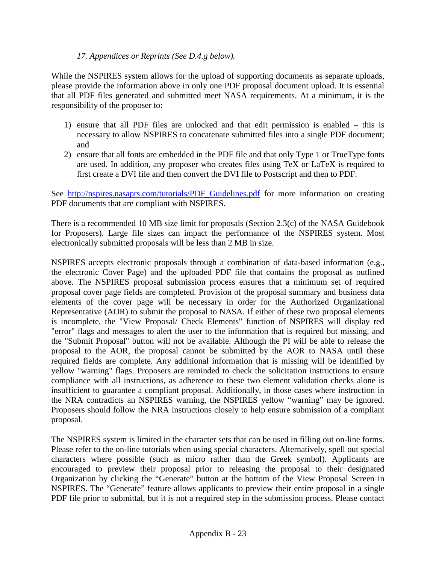#### *17. Appendices or Reprints (See D.4.g below).*

While the NSPIRES system allows for the upload of supporting documents as separate uploads, please provide the information above in only one PDF proposal document upload. It is essential that all PDF files generated and submitted meet NASA requirements. At a minimum, it is the responsibility of the proposer to:

- 1) ensure that all PDF files are unlocked and that edit permission is enabled this is necessary to allow NSPIRES to concatenate submitted files into a single PDF document; and
- 2) ensure that all fonts are embedded in the PDF file and that only Type 1 or TrueType fonts are used. In addition, any proposer who creates files using TeX or LaTeX is required to first create a DVI file and then convert the DVI file to Postscript and then to PDF.

See [http://nspires.nasaprs.com/tutorials/PDF\\_Guidelines.pdf](http://nspires.nasaprs.com/tutorials/PDF_Guidelines.pdf) for more information on creating PDF documents that are compliant with NSPIRES.

There is a recommended 10 MB size limit for proposals (Section 2.3(c) of the NASA Guidebook for Proposers). Large file sizes can impact the performance of the NSPIRES system. Most electronically submitted proposals will be less than 2 MB in size.

NSPIRES accepts electronic proposals through a combination of data-based information (e.g., the electronic Cover Page) and the uploaded PDF file that contains the proposal as outlined above. The NSPIRES proposal submission process ensures that a minimum set of required proposal cover page fields are completed. Provision of the proposal summary and business data elements of the cover page will be necessary in order for the Authorized Organizational Representative (AOR) to submit the proposal to NASA. If either of these two proposal elements is incomplete, the "View Proposal/ Check Elements" function of NSPIRES will display red "error" flags and messages to alert the user to the information that is required but missing, and the "Submit Proposal" button will not be available. Although the PI will be able to release the proposal to the AOR, the proposal cannot be submitted by the AOR to NASA until these required fields are complete. Any additional information that is missing will be identified by yellow "warning" flags. Proposers are reminded to check the solicitation instructions to ensure compliance with all instructions, as adherence to these two element validation checks alone is insufficient to guarantee a compliant proposal. Additionally, in those cases where instruction in the NRA contradicts an NSPIRES warning, the NSPIRES yellow "warning" may be ignored. Proposers should follow the NRA instructions closely to help ensure submission of a compliant proposal.

The NSPIRES system is limited in the character sets that can be used in filling out on-line forms. Please refer to the on-line tutorials when using special characters. Alternatively, spell out special characters where possible (such as micro rather than the Greek symbol). Applicants are encouraged to preview their proposal prior to releasing the proposal to their designated Organization by clicking the "Generate" button at the bottom of the View Proposal Screen in NSPIRES. The "Generate" feature allows applicants to preview their entire proposal in a single PDF file prior to submittal, but it is not a required step in the submission process. Please contact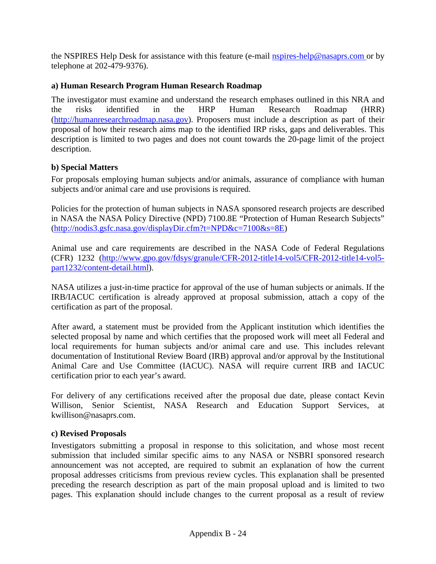the NSPIRES Help Desk for assistance with this feature (e-mail [nspires-help@nasaprs.com](mailto:nspires-help@nasaprs.com) or by telephone at 202-479-9376).

#### **a) Human Research Program Human Research Roadmap**

The investigator must examine and understand the research emphases outlined in this NRA and the risks identified in the HRP Human Research Roadmap (HRR) [\(http://humanresearchroadmap.nasa.gov\)](http://humanresearchroadmap.nasa.gov/). Proposers must include a description as part of their proposal of how their research aims map to the identified IRP risks, gaps and deliverables. This description is limited to two pages and does not count towards the 20-page limit of the project description.

#### **b) Special Matters**

For proposals employing human subjects and/or animals, assurance of compliance with human subjects and/or animal care and use provisions is required.

Policies for the protection of human subjects in NASA sponsored research projects are described in NASA the NASA Policy Directive (NPD) 7100.8E "Protection of Human Research Subjects" [\(http://nodis3.gsfc.nasa.gov/displayDir.cfm?t=NPD&c=7100&s=8E\)](http://nodis3.gsfc.nasa.gov/displayDir.cfm?t=NPD&c=7100&s=8E)

Animal use and care requirements are described in the NASA Code of Federal Regulations (CFR) 1232 [\(http://www.gpo.gov/fdsys/granule/CFR-2012-title14-vol5/CFR-2012-title14-vol5](http://www.gpo.gov/fdsys/granule/CFR-2012-title14-vol5/CFR-2012-title14-vol5-part1232/content-detail.html) [part1232/content-detail.html\)](http://www.gpo.gov/fdsys/granule/CFR-2012-title14-vol5/CFR-2012-title14-vol5-part1232/content-detail.html).

NASA utilizes a just-in-time practice for approval of the use of human subjects or animals. If the IRB/IACUC certification is already approved at proposal submission, attach a copy of the certification as part of the proposal.

After award, a statement must be provided from the Applicant institution which identifies the selected proposal by name and which certifies that the proposed work will meet all Federal and local requirements for human subjects and/or animal care and use. This includes relevant documentation of Institutional Review Board (IRB) approval and/or approval by the Institutional Animal Care and Use Committee (IACUC). NASA will require current IRB and IACUC certification prior to each year's award.

For delivery of any certifications received after the proposal due date, please contact Kevin Willison, Senior Scientist, NASA Research and Education Support Services, at kwillison@nasaprs.com.

#### **c) Revised Proposals**

Investigators submitting a proposal in response to this solicitation, and whose most recent submission that included similar specific aims to any NASA or NSBRI sponsored research announcement was not accepted, are required to submit an explanation of how the current proposal addresses criticisms from previous review cycles. This explanation shall be presented preceding the research description as part of the main proposal upload and is limited to two pages. This explanation should include changes to the current proposal as a result of review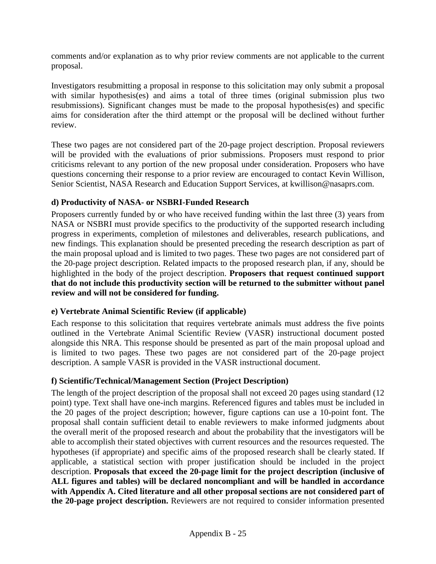comments and/or explanation as to why prior review comments are not applicable to the current proposal.

Investigators resubmitting a proposal in response to this solicitation may only submit a proposal with similar hypothesis(es) and aims a total of three times (original submission plus two resubmissions). Significant changes must be made to the proposal hypothesis(es) and specific aims for consideration after the third attempt or the proposal will be declined without further review.

These two pages are not considered part of the 20-page project description. Proposal reviewers will be provided with the evaluations of prior submissions. Proposers must respond to prior criticisms relevant to any portion of the new proposal under consideration. Proposers who have questions concerning their response to a prior review are encouraged to contact Kevin Willison, Senior Scientist, NASA Research and Education Support Services, at kwillison@nasaprs.com.

#### **d) Productivity of NASA- or NSBRI-Funded Research**

Proposers currently funded by or who have received funding within the last three (3) years from NASA or NSBRI must provide specifics to the productivity of the supported research including progress in experiments, completion of milestones and deliverables, research publications, and new findings. This explanation should be presented preceding the research description as part of the main proposal upload and is limited to two pages. These two pages are not considered part of the 20-page project description. Related impacts to the proposed research plan, if any, should be highlighted in the body of the project description. **Proposers that request continued support that do not include this productivity section will be returned to the submitter without panel review and will not be considered for funding.**

#### **e) Vertebrate Animal Scientific Review (if applicable)**

Each response to this solicitation that requires vertebrate animals must address the five points outlined in the Vertebrate Animal Scientific Review (VASR) instructional document posted alongside this NRA. This response should be presented as part of the main proposal upload and is limited to two pages. These two pages are not considered part of the 20-page project description. A sample VASR is provided in the VASR instructional document.

#### **f) Scientific/Technical/Management Section (Project Description)**

The length of the project description of the proposal shall not exceed 20 pages using standard (12 point) type. Text shall have one-inch margins. Referenced figures and tables must be included in the 20 pages of the project description; however, figure captions can use a 10-point font. The proposal shall contain sufficient detail to enable reviewers to make informed judgments about the overall merit of the proposed research and about the probability that the investigators will be able to accomplish their stated objectives with current resources and the resources requested. The hypotheses (if appropriate) and specific aims of the proposed research shall be clearly stated. If applicable, a statistical section with proper justification should be included in the project description. **Proposals that exceed the 20-page limit for the project description (inclusive of ALL figures and tables) will be declared noncompliant and will be handled in accordance with Appendix A. Cited literature and all other proposal sections are not considered part of the 20-page project description.** Reviewers are not required to consider information presented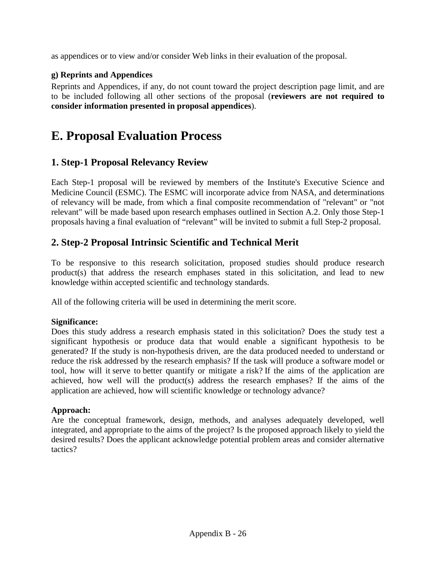as appendices or to view and/or consider Web links in their evaluation of the proposal.

#### **g) Reprints and Appendices**

Reprints and Appendices, if any, do not count toward the project description page limit, and are to be included following all other sections of the proposal (**reviewers are not required to consider information presented in proposal appendices**).

## **E. Proposal Evaluation Process**

## **1. Step-1 Proposal Relevancy Review**

Each Step-1 proposal will be reviewed by members of the Institute's Executive Science and Medicine Council (ESMC). The ESMC will incorporate advice from NASA, and determinations of relevancy will be made, from which a final composite recommendation of "relevant" or "not relevant" will be made based upon research emphases outlined in Section A.2. Only those Step-1 proposals having a final evaluation of "relevant" will be invited to submit a full Step-2 proposal.

## **2. Step-2 Proposal Intrinsic Scientific and Technical Merit**

To be responsive to this research solicitation, proposed studies should produce research product(s) that address the research emphases stated in this solicitation, and lead to new knowledge within accepted scientific and technology standards.

All of the following criteria will be used in determining the merit score.

#### **Significance:**

Does this study address a research emphasis stated in this solicitation? Does the study test a significant hypothesis or produce data that would enable a significant hypothesis to be generated? If the study is non-hypothesis driven, are the data produced needed to understand or reduce the risk addressed by the research emphasis? If the task will produce a software model or tool, how will it serve to better quantify or mitigate a risk? If the aims of the application are achieved, how well will the product(s) address the research emphases? If the aims of the application are achieved, how will scientific knowledge or technology advance?

#### **Approach:**

Are the conceptual framework, design, methods, and analyses adequately developed, well integrated, and appropriate to the aims of the project? Is the proposed approach likely to yield the desired results? Does the applicant acknowledge potential problem areas and consider alternative tactics?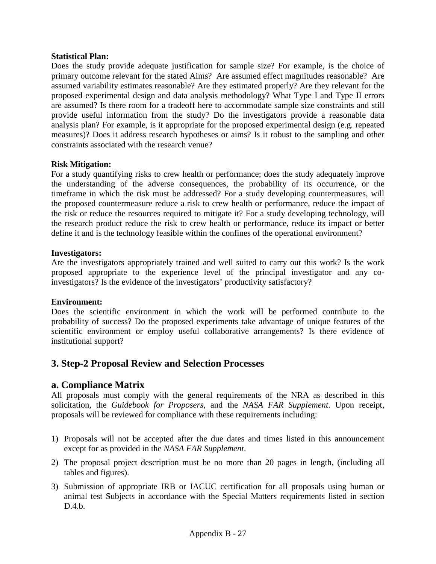#### **Statistical Plan:**

Does the study provide adequate justification for sample size? For example, is the choice of primary outcome relevant for the stated Aims? Are assumed effect magnitudes reasonable? Are assumed variability estimates reasonable? Are they estimated properly? Are they relevant for the proposed experimental design and data analysis methodology? What Type I and Type II errors are assumed? Is there room for a tradeoff here to accommodate sample size constraints and still provide useful information from the study? Do the investigators provide a reasonable data analysis plan? For example, is it appropriate for the proposed experimental design (e.g. repeated measures)? Does it address research hypotheses or aims? Is it robust to the sampling and other constraints associated with the research venue?

#### **Risk Mitigation:**

For a study quantifying risks to crew health or performance; does the study adequately improve the understanding of the adverse consequences, the probability of its occurrence, or the timeframe in which the risk must be addressed? For a study developing countermeasures, will the proposed countermeasure reduce a risk to crew health or performance, reduce the impact of the risk or reduce the resources required to mitigate it? For a study developing technology, will the research product reduce the risk to crew health or performance, reduce its impact or better define it and is the technology feasible within the confines of the operational environment?

#### **Investigators:**

Are the investigators appropriately trained and well suited to carry out this work? Is the work proposed appropriate to the experience level of the principal investigator and any coinvestigators? Is the evidence of the investigators' productivity satisfactory?

#### **Environment:**

Does the scientific environment in which the work will be performed contribute to the probability of success? Do the proposed experiments take advantage of unique features of the scientific environment or employ useful collaborative arrangements? Is there evidence of institutional support?

### **3. Step-2 Proposal Review and Selection Processes**

### **a. Compliance Matrix**

All proposals must comply with the general requirements of the NRA as described in this solicitation, the *Guidebook for Proposers*, and the *NASA FAR Supplement*. Upon receipt, proposals will be reviewed for compliance with these requirements including:

- 1) Proposals will not be accepted after the due dates and times listed in this announcement except for as provided in the *NASA FAR Supplement*.
- 2) The proposal project description must be no more than 20 pages in length, (including all tables and figures).
- 3) Submission of appropriate IRB or IACUC certification for all proposals using human or animal test Subjects in accordance with the Special Matters requirements listed in section D.4.b.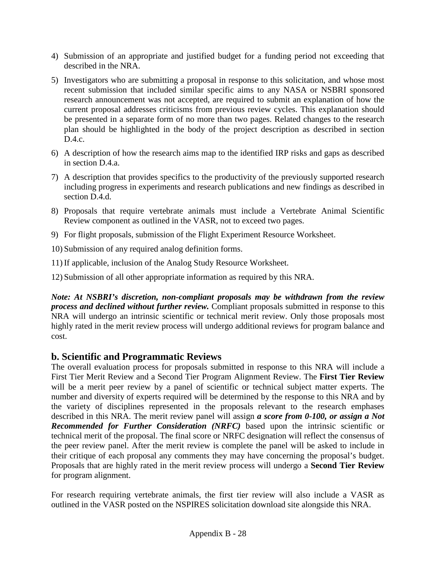- 4) Submission of an appropriate and justified budget for a funding period not exceeding that described in the NRA.
- 5) Investigators who are submitting a proposal in response to this solicitation, and whose most recent submission that included similar specific aims to any NASA or NSBRI sponsored research announcement was not accepted, are required to submit an explanation of how the current proposal addresses criticisms from previous review cycles. This explanation should be presented in a separate form of no more than two pages. Related changes to the research plan should be highlighted in the body of the project description as described in section D.4.c.
- 6) A description of how the research aims map to the identified IRP risks and gaps as described in section D.4.a.
- 7) A description that provides specifics to the productivity of the previously supported research including progress in experiments and research publications and new findings as described in section D.4.d.
- 8) Proposals that require vertebrate animals must include a Vertebrate Animal Scientific Review component as outlined in the VASR, not to exceed two pages.
- 9) For flight proposals, submission of the Flight Experiment Resource Worksheet.

10) Submission of any required analog definition forms.

11) If applicable, inclusion of the Analog Study Resource Worksheet.

12) Submission of all other appropriate information as required by this NRA.

*Note: At NSBRI's discretion, non-compliant proposals may be withdrawn from the review process and declined without further review.* Compliant proposals submitted in response to this NRA will undergo an intrinsic scientific or technical merit review. Only those proposals most highly rated in the merit review process will undergo additional reviews for program balance and cost.

## **b. Scientific and Programmatic Reviews**

The overall evaluation process for proposals submitted in response to this NRA will include a First Tier Merit Review and a Second Tier Program Alignment Review. The **First Tier Review** will be a merit peer review by a panel of scientific or technical subject matter experts. The number and diversity of experts required will be determined by the response to this NRA and by the variety of disciplines represented in the proposals relevant to the research emphases described in this NRA. The merit review panel will assign *a score from 0-100, or assign a Not Recommended for Further Consideration (NRFC)* based upon the intrinsic scientific or technical merit of the proposal. The final score or NRFC designation will reflect the consensus of the peer review panel. After the merit review is complete the panel will be asked to include in their critique of each proposal any comments they may have concerning the proposal's budget. Proposals that are highly rated in the merit review process will undergo a **Second Tier Review** for program alignment.

For research requiring vertebrate animals, the first tier review will also include a VASR as outlined in the VASR posted on the NSPIRES solicitation download site alongside this NRA.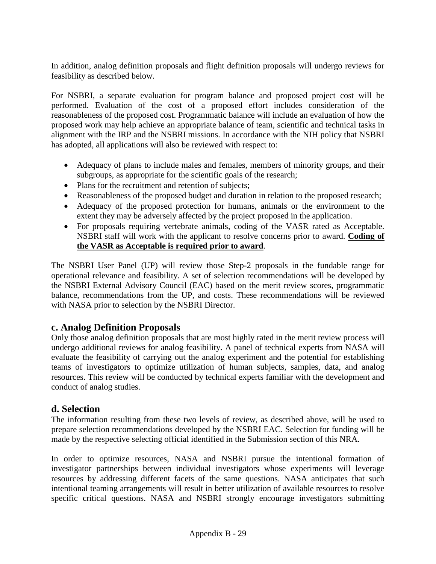In addition, analog definition proposals and flight definition proposals will undergo reviews for feasibility as described below.

For NSBRI, a separate evaluation for program balance and proposed project cost will be performed. Evaluation of the cost of a proposed effort includes consideration of the reasonableness of the proposed cost. Programmatic balance will include an evaluation of how the proposed work may help achieve an appropriate balance of team, scientific and technical tasks in alignment with the IRP and the NSBRI missions. In accordance with the NIH policy that NSBRI has adopted, all applications will also be reviewed with respect to:

- Adequacy of plans to include males and females, members of minority groups, and their subgroups, as appropriate for the scientific goals of the research;
- Plans for the recruitment and retention of subjects;
- Reasonableness of the proposed budget and duration in relation to the proposed research;
- Adequacy of the proposed protection for humans, animals or the environment to the extent they may be adversely affected by the project proposed in the application.
- For proposals requiring vertebrate animals, coding of the VASR rated as Acceptable. NSBRI staff will work with the applicant to resolve concerns prior to award. **Coding of the VASR as Acceptable is required prior to award**.

The NSBRI User Panel (UP) will review those Step-2 proposals in the fundable range for operational relevance and feasibility. A set of selection recommendations will be developed by the NSBRI External Advisory Council (EAC) based on the merit review scores, programmatic balance, recommendations from the UP, and costs. These recommendations will be reviewed with NASA prior to selection by the NSBRI Director.

## **c. Analog Definition Proposals**

Only those analog definition proposals that are most highly rated in the merit review process will undergo additional reviews for analog feasibility. A panel of technical experts from NASA will evaluate the feasibility of carrying out the analog experiment and the potential for establishing teams of investigators to optimize utilization of human subjects, samples, data, and analog resources. This review will be conducted by technical experts familiar with the development and conduct of analog studies.

### **d. Selection**

The information resulting from these two levels of review, as described above, will be used to prepare selection recommendations developed by the NSBRI EAC. Selection for funding will be made by the respective selecting official identified in the Submission section of this NRA.

In order to optimize resources, NASA and NSBRI pursue the intentional formation of investigator partnerships between individual investigators whose experiments will leverage resources by addressing different facets of the same questions. NASA anticipates that such intentional teaming arrangements will result in better utilization of available resources to resolve specific critical questions. NASA and NSBRI strongly encourage investigators submitting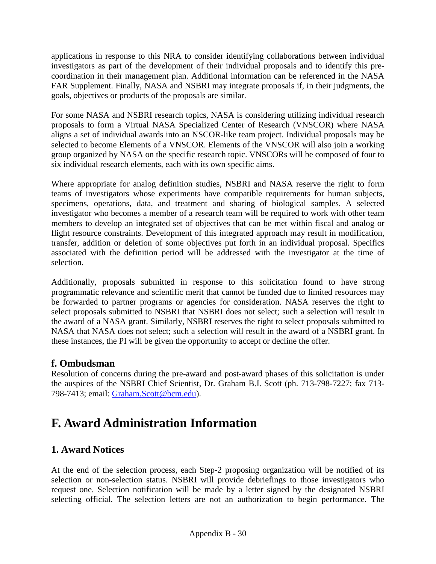applications in response to this NRA to consider identifying collaborations between individual investigators as part of the development of their individual proposals and to identify this precoordination in their management plan. Additional information can be referenced in the NASA FAR Supplement. Finally, NASA and NSBRI may integrate proposals if, in their judgments, the goals, objectives or products of the proposals are similar.

For some NASA and NSBRI research topics, NASA is considering utilizing individual research proposals to form a Virtual NASA Specialized Center of Research (VNSCOR) where NASA aligns a set of individual awards into an NSCOR-like team project. Individual proposals may be selected to become Elements of a VNSCOR. Elements of the VNSCOR will also join a working group organized by NASA on the specific research topic. VNSCORs will be composed of four to six individual research elements, each with its own specific aims.

Where appropriate for analog definition studies, NSBRI and NASA reserve the right to form teams of investigators whose experiments have compatible requirements for human subjects, specimens, operations, data, and treatment and sharing of biological samples. A selected investigator who becomes a member of a research team will be required to work with other team members to develop an integrated set of objectives that can be met within fiscal and analog or flight resource constraints. Development of this integrated approach may result in modification, transfer, addition or deletion of some objectives put forth in an individual proposal. Specifics associated with the definition period will be addressed with the investigator at the time of selection.

Additionally, proposals submitted in response to this solicitation found to have strong programmatic relevance and scientific merit that cannot be funded due to limited resources may be forwarded to partner programs or agencies for consideration. NASA reserves the right to select proposals submitted to NSBRI that NSBRI does not select; such a selection will result in the award of a NASA grant. Similarly, NSBRI reserves the right to select proposals submitted to NASA that NASA does not select; such a selection will result in the award of a NSBRI grant. In these instances, the PI will be given the opportunity to accept or decline the offer.

## **f. Ombudsman**

Resolution of concerns during the pre-award and post-award phases of this solicitation is under the auspices of the NSBRI Chief Scientist, Dr. Graham B.I. Scott (ph. 713-798-7227; fax 713- 798-7413; email: [Graham.Scott@bcm.edu\)](mailto:Graham.Scott@bcm.edu).

## **F. Award Administration Information**

## **1. Award Notices**

At the end of the selection process, each Step-2 proposing organization will be notified of its selection or non-selection status. NSBRI will provide debriefings to those investigators who request one. Selection notification will be made by a letter signed by the designated NSBRI selecting official. The selection letters are not an authorization to begin performance. The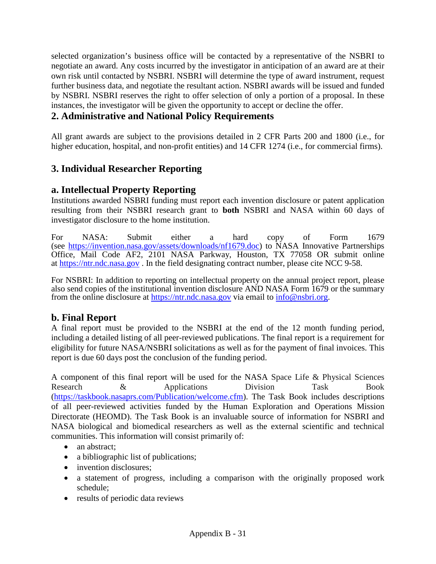selected organization's business office will be contacted by a representative of the NSBRI to negotiate an award. Any costs incurred by the investigator in anticipation of an award are at their own risk until contacted by NSBRI. NSBRI will determine the type of award instrument, request further business data, and negotiate the resultant action. NSBRI awards will be issued and funded by NSBRI. NSBRI reserves the right to offer selection of only a portion of a proposal. In these instances, the investigator will be given the opportunity to accept or decline the offer.

## **2. Administrative and National Policy Requirements**

All grant awards are subject to the provisions detailed in 2 CFR Parts 200 and 1800 (i.e., for higher education, hospital, and non-profit entities) and 14 CFR 1274 (i.e., for commercial firms).

## **3. Individual Researcher Reporting**

## **a. Intellectual Property Reporting**

Institutions awarded NSBRI funding must report each invention disclosure or patent application resulting from their NSBRI research grant to **both** NSBRI and NASA within 60 days of investigator disclosure to the home institution.

For NASA: Submit either a hard copy of Form 1679 (see [https://invention.nasa.gov/assets/downloads/nf1679.doc\)](https://invention.nasa.gov/assets/downloads/nf1679.doc) to NASA Innovative Partnerships Office, Mail Code AF2, 2101 NASA Parkway, Houston, TX 77058 OR submit online at [https://ntr.ndc.nasa.gov](https://ntr.ndc.nasa.gov/) . In the field designating contract number, please cite NCC 9-58.

For NSBRI: In addition to reporting on intellectual property on the annual project report, please also send copies of the institutional invention disclosure AND NASA Form 1679 or the summary from the online disclosure at [https://ntr.ndc.nasa.gov](https://ntr.ndc.nasa.gov/) via email to [info@nsbri.org.](mailto:info@nsbri.org)

### **b. Final Report**

A final report must be provided to the NSBRI at the end of the 12 month funding period, including a detailed listing of all peer-reviewed publications. The final report is a requirement for eligibility for future NASA/NSBRI solicitations as well as for the payment of final invoices. This report is due 60 days post the conclusion of the funding period.

A component of this final report will be used for the NASA Space Life & Physical Sciences Research & Applications Division Task Book [\(https://taskbook.nasaprs.com/Publication/welcome.cfm\)](https://taskbook.nasaprs.com/Publication/welcome.cfm). The Task Book includes descriptions of all peer-reviewed activities funded by the Human Exploration and Operations Mission Directorate (HEOMD). The Task Book is an invaluable source of information for NSBRI and NASA biological and biomedical researchers as well as the external scientific and technical communities. This information will consist primarily of:

- an abstract;
- a bibliographic list of publications;
- invention disclosures:
- a statement of progress, including a comparison with the originally proposed work schedule;
- results of periodic data reviews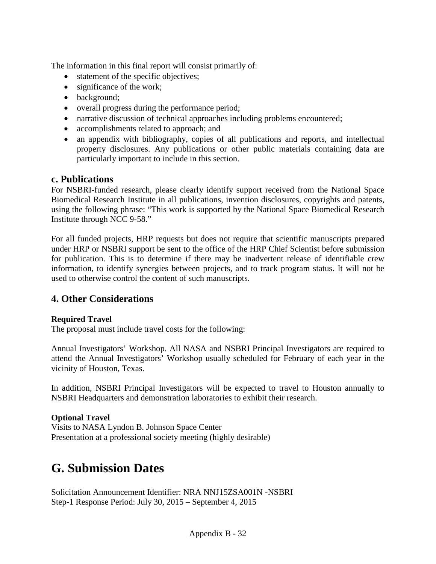The information in this final report will consist primarily of:

- statement of the specific objectives;
- significance of the work;
- background;
- overall progress during the performance period;
- narrative discussion of technical approaches including problems encountered;
- accomplishments related to approach; and
- an appendix with bibliography, copies of all publications and reports, and intellectual property disclosures. Any publications or other public materials containing data are particularly important to include in this section.

### **c. Publications**

For NSBRI-funded research, please clearly identify support received from the National Space Biomedical Research Institute in all publications, invention disclosures, copyrights and patents, using the following phrase: "This work is supported by the National Space Biomedical Research Institute through NCC 9-58."

For all funded projects, HRP requests but does not require that scientific manuscripts prepared under HRP or NSBRI support be sent to the office of the HRP Chief Scientist before submission for publication. This is to determine if there may be inadvertent release of identifiable crew information, to identify synergies between projects, and to track program status. It will not be used to otherwise control the content of such manuscripts.

## **4. Other Considerations**

#### **Required Travel**

The proposal must include travel costs for the following:

Annual Investigators' Workshop. All NASA and NSBRI Principal Investigators are required to attend the Annual Investigators' Workshop usually scheduled for February of each year in the vicinity of Houston, Texas.

In addition, NSBRI Principal Investigators will be expected to travel to Houston annually to NSBRI Headquarters and demonstration laboratories to exhibit their research.

#### **Optional Travel**

Visits to NASA Lyndon B. Johnson Space Center Presentation at a professional society meeting (highly desirable)

## **G. Submission Dates**

Solicitation Announcement Identifier: NRA NNJ15ZSA001N -NSBRI Step-1 Response Period: July 30, 2015 – September 4, 2015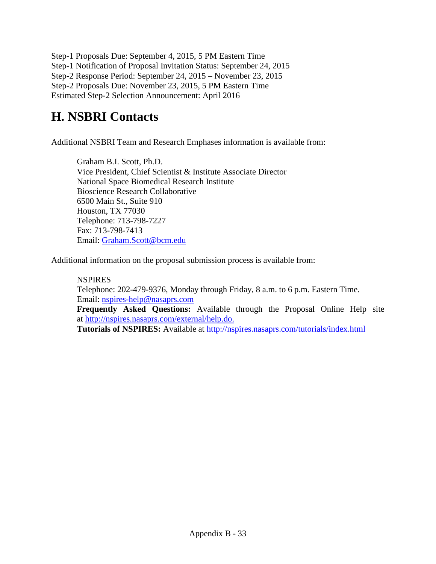Step-1 Proposals Due: September 4, 2015, 5 PM Eastern Time Step-1 Notification of Proposal Invitation Status: September 24, 2015 Step-2 Response Period: September 24, 2015 – November 23, 2015 Step-2 Proposals Due: November 23, 2015, 5 PM Eastern Time Estimated Step-2 Selection Announcement: April 2016

# **H. NSBRI Contacts**

Additional NSBRI Team and Research Emphases information is available from:

Graham B.I. Scott, Ph.D. Vice President, Chief Scientist & Institute Associate Director National Space Biomedical Research Institute Bioscience Research Collaborative 6500 Main St., Suite 910 Houston, TX 77030 Telephone: 713-798-7227 Fax: 713-798-7413 Email: [Graham.Scott@bcm.edu](mailto:Graham.Scott@bcm.edu)

Additional information on the proposal submission process is available from:

**NSPIRES** Telephone: 202-479-9376, Monday through Friday, 8 a.m. to 6 p.m. Eastern Time. Email: [nspires-help@nasaprs.com](mailto:nspires-help@nasaprs.com) **Frequently Asked Questions:** Available through the Proposal Online Help site at [http://nspires.nasaprs.com/external/help.do.](http://nspires.nasaprs.com/external/help.do) **Tutorials of NSPIRES:** Available at<http://nspires.nasaprs.com/tutorials/index.html>